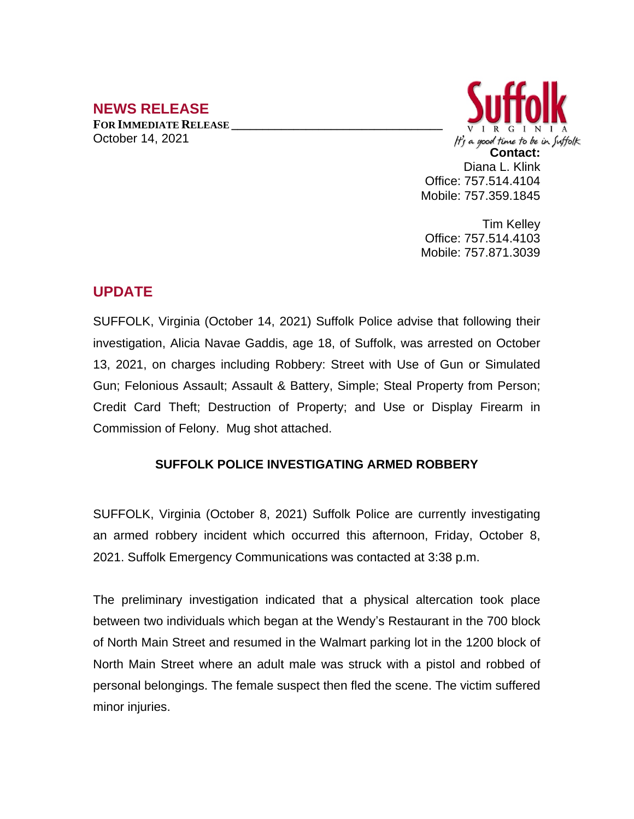## **NEWS RELEASE**

**FOR IMMEDIATE RELEASE \_\_\_\_\_\_\_\_\_\_\_\_\_\_\_\_\_\_\_\_\_\_\_\_\_\_\_\_\_\_\_\_\_\_** October 14, 2021



Tim Kelley Office: 757.514.4103 Mobile: 757.871.3039

## **UPDATE**

SUFFOLK, Virginia (October 14, 2021) Suffolk Police advise that following their investigation, Alicia Navae Gaddis, age 18, of Suffolk, was arrested on October 13, 2021, on charges including Robbery: Street with Use of Gun or Simulated Gun; Felonious Assault; Assault & Battery, Simple; Steal Property from Person; Credit Card Theft; Destruction of Property; and Use or Display Firearm in Commission of Felony. Mug shot attached.

## **SUFFOLK POLICE INVESTIGATING ARMED ROBBERY**

SUFFOLK, Virginia (October 8, 2021) Suffolk Police are currently investigating an armed robbery incident which occurred this afternoon, Friday, October 8, 2021. Suffolk Emergency Communications was contacted at 3:38 p.m.

The preliminary investigation indicated that a physical altercation took place between two individuals which began at the Wendy's Restaurant in the 700 block of North Main Street and resumed in the Walmart parking lot in the 1200 block of North Main Street where an adult male was struck with a pistol and robbed of personal belongings. The female suspect then fled the scene. The victim suffered minor injuries.